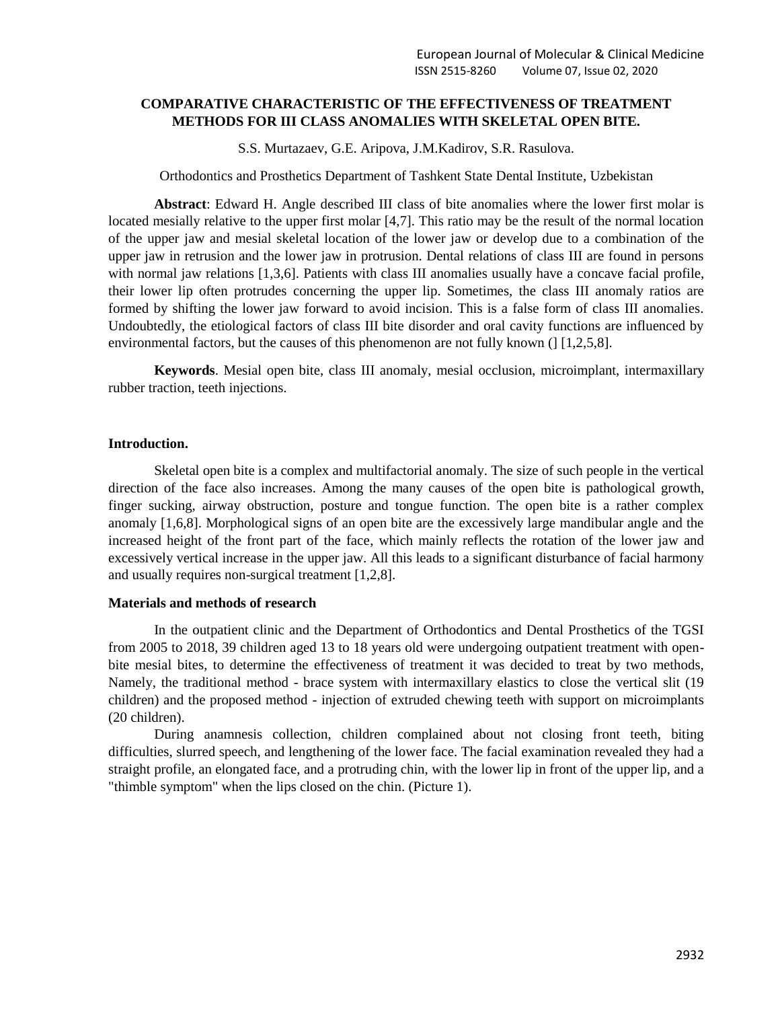# **COMPARATIVE CHARACTERISTIC OF THE EFFECTIVENESS OF TREATMENT METHODS FOR III CLASS ANOMALIES WITH SKELETAL OPEN BITE.**

S.S. Murtazaev, G.E. Aripova, J.M.Kadirov, S.R. Rasulova.

Orthodontics and Prosthetics Department of Tashkent State Dental Institute, Uzbekistan

**Abstract**: Edward H. Angle described III class of bite anomalies where the lower first molar is located mesially relative to the upper first molar [4,7]. This ratio may be the result of the normal location of the upper jaw and mesial skeletal location of the lower jaw or develop due to a combination of the upper jaw in retrusion and the lower jaw in protrusion. Dental relations of class III are found in persons with normal jaw relations [1,3,6]. Patients with class III anomalies usually have a concave facial profile, their lower lip often protrudes concerning the upper lip. Sometimes, the class III anomaly ratios are formed by shifting the lower jaw forward to avoid incision. This is a false form of class III anomalies. Undoubtedly, the etiological factors of class III bite disorder and oral cavity functions are influenced by environmental factors, but the causes of this phenomenon are not fully known ( $\lfloor 1, 2, 5, 8 \rfloor$ ).

**Keywords**. Mesial open bite, class III anomaly, mesial occlusion, microimplant, intermaxillary rubber traction, teeth injections.

#### **Introduction.**

Skeletal open bite is a complex and multifactorial anomaly. The size of such people in the vertical direction of the face also increases. Among the many causes of the open bite is pathological growth, finger sucking, airway obstruction, posture and tongue function. The open bite is a rather complex anomaly [1,6,8]. Morphological signs of an open bite are the excessively large mandibular angle and the increased height of the front part of the face, which mainly reflects the rotation of the lower jaw and excessively vertical increase in the upper jaw. All this leads to a significant disturbance of facial harmony and usually requires non-surgical treatment [1,2,8].

## **Materials and methods of research**

In the outpatient clinic and the Department of Orthodontics and Dental Prosthetics of the TGSI from 2005 to 2018, 39 children aged 13 to 18 years old were undergoing outpatient treatment with openbite mesial bites, to determine the effectiveness of treatment it was decided to treat by two methods, Namely, the traditional method - brace system with intermaxillary elastics to close the vertical slit (19 children) and the proposed method - injection of extruded chewing teeth with support on microimplants (20 children).

During anamnesis collection, children complained about not closing front teeth, biting difficulties, slurred speech, and lengthening of the lower face. The facial examination revealed they had a straight profile, an elongated face, and a protruding chin, with the lower lip in front of the upper lip, and a "thimble symptom" when the lips closed on the chin. (Picture 1).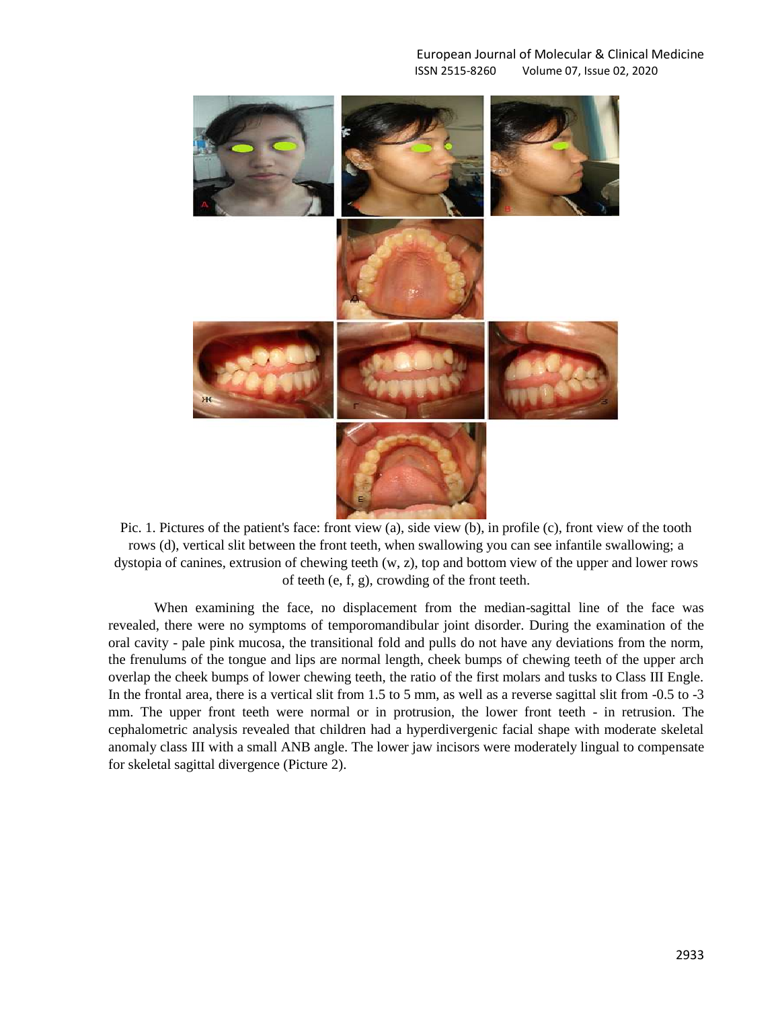## European Journal of Molecular & Clinical Medicine ISSN 2515-8260 Volume 07, Issue 02, 2020



Pic. 1. Pictures of the patient's face: front view (a), side view (b), in profile (c), front view of the tooth rows (d), vertical slit between the front teeth, when swallowing you can see infantile swallowing; a dystopia of canines, extrusion of chewing teeth (w, z), top and bottom view of the upper and lower rows of teeth (e, f, g), crowding of the front teeth.

When examining the face, no displacement from the median-sagittal line of the face was revealed, there were no symptoms of temporomandibular joint disorder. During the examination of the oral cavity - pale pink mucosa, the transitional fold and pulls do not have any deviations from the norm, the frenulums of the tongue and lips are normal length, cheek bumps of chewing teeth of the upper arch overlap the cheek bumps of lower chewing teeth, the ratio of the first molars and tusks to Class III Engle. In the frontal area, there is a vertical slit from 1.5 to 5 mm, as well as a reverse sagittal slit from -0.5 to -3 mm. The upper front teeth were normal or in protrusion, the lower front teeth - in retrusion. The cephalometric analysis revealed that children had a hyperdivergenic facial shape with moderate skeletal anomaly class III with a small ANB angle. The lower jaw incisors were moderately lingual to compensate for skeletal sagittal divergence (Picture 2).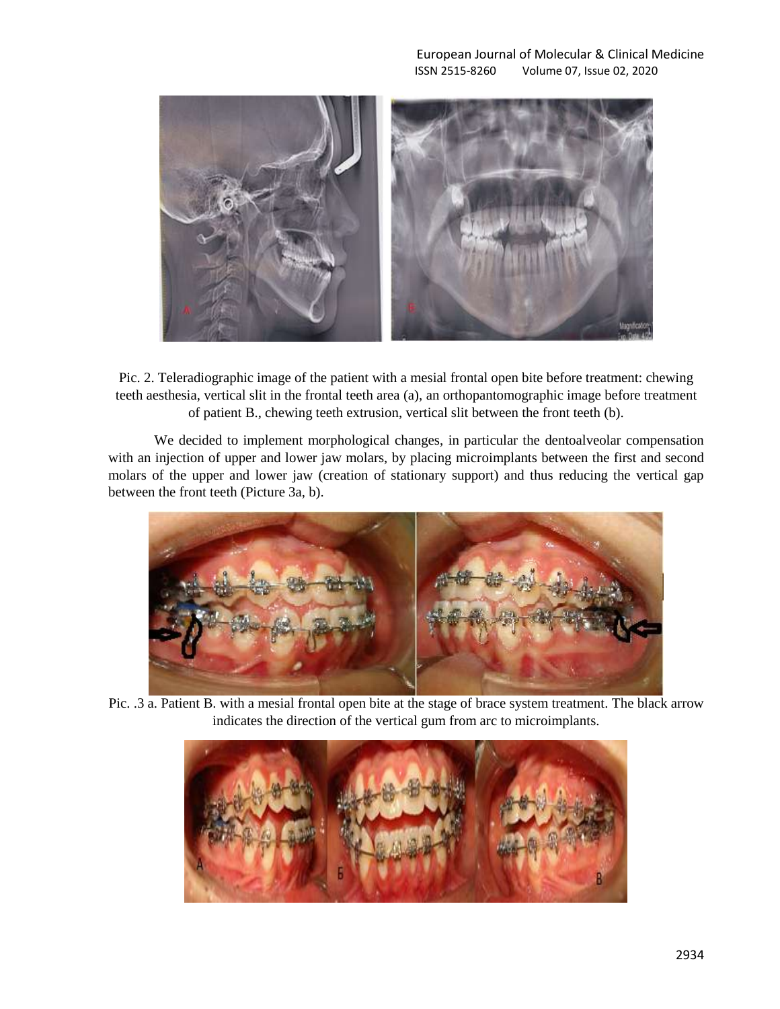

Pic. 2. Teleradiographic image of the patient with a mesial frontal open bite before treatment: chewing teeth aesthesia, vertical slit in the frontal teeth area (a), an orthopantomographic image before treatment of patient B., chewing teeth extrusion, vertical slit between the front teeth (b).

We decided to implement morphological changes, in particular the dentoalveolar compensation with an injection of upper and lower jaw molars, by placing microimplants between the first and second molars of the upper and lower jaw (creation of stationary support) and thus reducing the vertical gap between the front teeth (Picture 3a, b).



Pic. .3 a. Patient B. with a mesial frontal open bite at the stage of brace system treatment. The black arrow indicates the direction of the vertical gum from arc to microimplants.

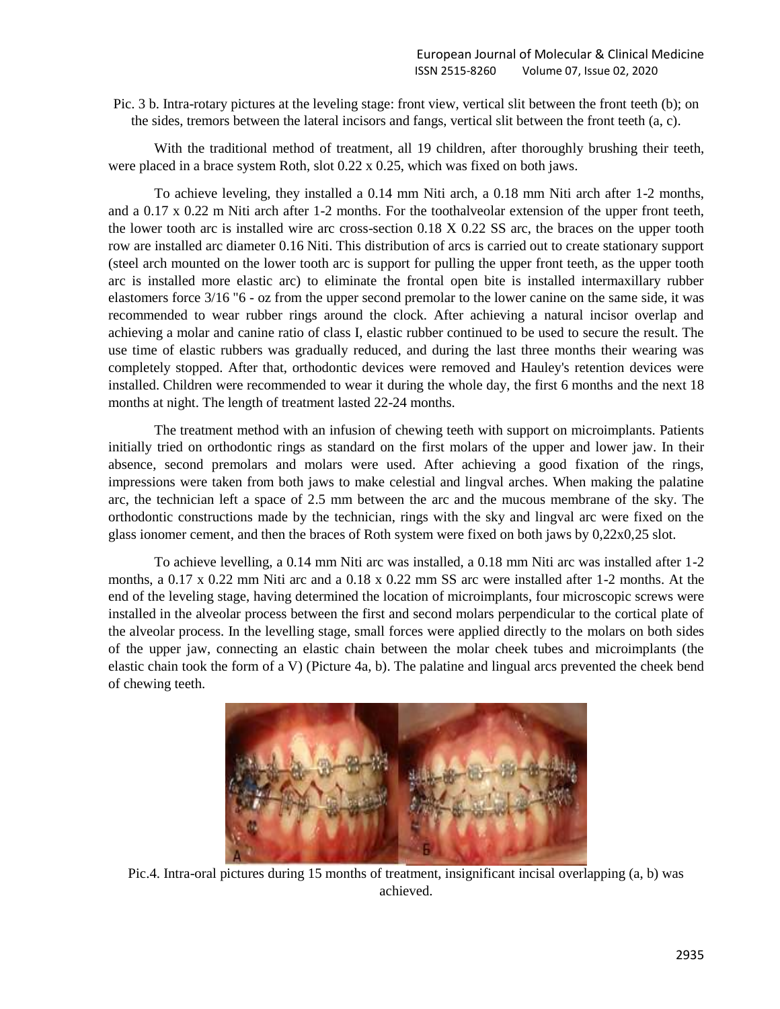Pic. 3 b. Intra-rotary pictures at the leveling stage: front view, vertical slit between the front teeth (b); on the sides, tremors between the lateral incisors and fangs, vertical slit between the front teeth (a, c).

With the traditional method of treatment, all 19 children, after thoroughly brushing their teeth, were placed in a brace system Roth, slot 0.22 x 0.25, which was fixed on both jaws.

To achieve leveling, they installed a 0.14 mm Niti arch, a 0.18 mm Niti arch after 1-2 months, and a 0.17 x 0.22 m Niti arch after 1-2 months. For the toothalveolar extension of the upper front teeth, the lower tooth arc is installed wire arc cross-section 0.18 X 0.22 SS arc, the braces on the upper tooth row are installed arc diameter 0.16 Niti. This distribution of arcs is carried out to create stationary support (steel arch mounted on the lower tooth arc is support for pulling the upper front teeth, as the upper tooth arc is installed more elastic arc) to eliminate the frontal open bite is installed intermaxillary rubber elastomers force 3/16 "6 - oz from the upper second premolar to the lower canine on the same side, it was recommended to wear rubber rings around the clock. After achieving a natural incisor overlap and achieving a molar and canine ratio of class I, elastic rubber continued to be used to secure the result. The use time of elastic rubbers was gradually reduced, and during the last three months their wearing was completely stopped. After that, orthodontic devices were removed and Hauley's retention devices were installed. Children were recommended to wear it during the whole day, the first 6 months and the next 18 months at night. The length of treatment lasted 22-24 months.

The treatment method with an infusion of chewing teeth with support on microimplants. Patients initially tried on orthodontic rings as standard on the first molars of the upper and lower jaw. In their absence, second premolars and molars were used. After achieving a good fixation of the rings, impressions were taken from both jaws to make celestial and lingval arches. When making the palatine arc, the technician left a space of 2.5 mm between the arc and the mucous membrane of the sky. The orthodontic constructions made by the technician, rings with the sky and lingval arc were fixed on the glass ionomer cement, and then the braces of Roth system were fixed on both jaws by 0,22x0,25 slot.

To achieve levelling, a 0.14 mm Niti arc was installed, a 0.18 mm Niti arc was installed after 1-2 months, a 0.17 x 0.22 mm Niti arc and a 0.18 x 0.22 mm SS arc were installed after 1-2 months. At the end of the leveling stage, having determined the location of microimplants, four microscopic screws were installed in the alveolar process between the first and second molars perpendicular to the cortical plate of the alveolar process. In the levelling stage, small forces were applied directly to the molars on both sides of the upper jaw, connecting an elastic chain between the molar cheek tubes and microimplants (the elastic chain took the form of a V) (Picture 4a, b). The palatine and lingual arcs prevented the cheek bend of chewing teeth.



Pic.4. Intra-oral pictures during 15 months of treatment, insignificant incisal overlapping (a, b) was achieved.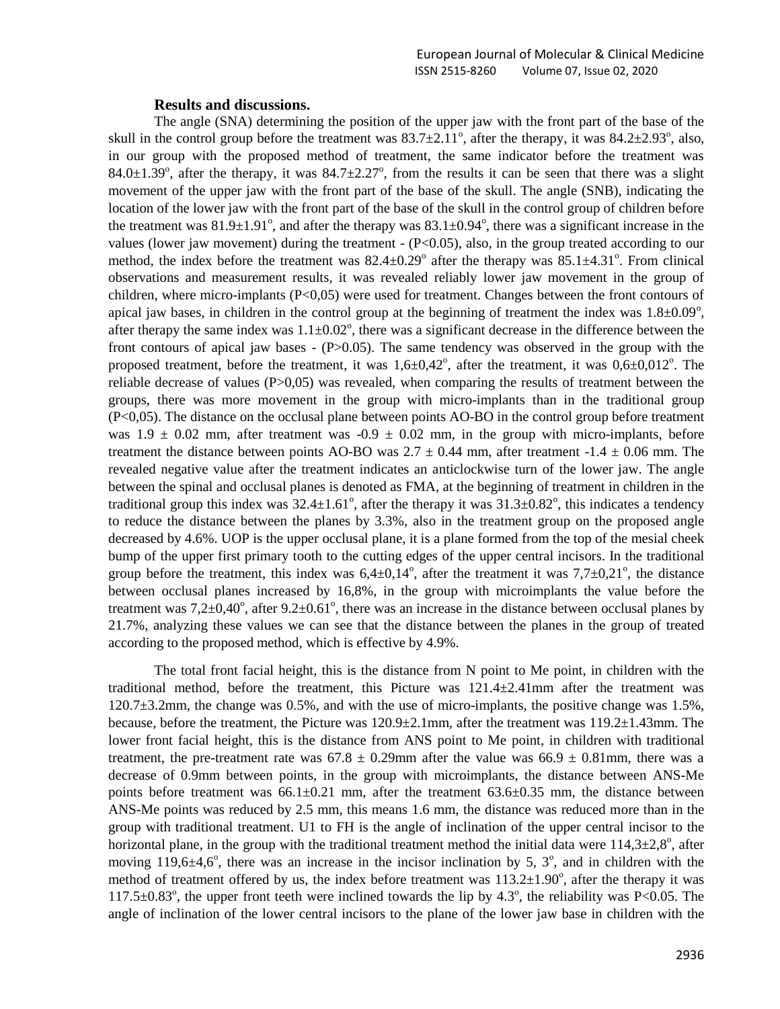#### **Results and discussions.**

The angle (SNA) determining the position of the upper jaw with the front part of the base of the skull in the control group before the treatment was  $83.7 \pm 2.11^\circ$ , after the therapy, it was  $84.2 \pm 2.93^\circ$ , also, in our group with the proposed method of treatment, the same indicator before the treatment was 84.0 $\pm$ 1.39°, after the therapy, it was 84.7 $\pm$ 2.27°, from the results it can be seen that there was a slight movement of the upper jaw with the front part of the base of the skull. The angle (SNB), indicating the location of the lower jaw with the front part of the base of the skull in the control group of children before the treatment was  $81.9\pm1.91^{\circ}$ , and after the therapy was  $83.1\pm0.94^{\circ}$ , there was a significant increase in the values (lower jaw movement) during the treatment - (P<0.05), also, in the group treated according to our method, the index before the treatment was  $82.4 \pm 0.29^\circ$  after the therapy was  $85.1 \pm 4.31^\circ$ . From clinical observations and measurement results, it was revealed reliably lower jaw movement in the group of children, where micro-implants  $(P<0.05)$  were used for treatment. Changes between the front contours of apical jaw bases, in children in the control group at the beginning of treatment the index was  $1.8 \pm 0.09^{\circ}$ , after therapy the same index was  $1.1 \pm 0.02$ <sup>o</sup>, there was a significant decrease in the difference between the front contours of apical jaw bases - (P>0.05). The same tendency was observed in the group with the proposed treatment, before the treatment, it was  $1,6\pm0,42^{\circ}$ , after the treatment, it was  $0,6\pm0,012^{\circ}$ . The reliable decrease of values (P>0,05) was revealed, when comparing the results of treatment between the groups, there was more movement in the group with micro-implants than in the traditional group (P<0,05). The distance on the occlusal plane between points AO-BO in the control group before treatment was  $1.9 \pm 0.02$  mm, after treatment was  $-0.9 \pm 0.02$  mm, in the group with micro-implants, before treatment the distance between points AO-BO was  $2.7 \pm 0.44$  mm, after treatment  $-1.4 \pm 0.06$  mm. The revealed negative value after the treatment indicates an anticlockwise turn of the lower jaw. The angle between the spinal and occlusal planes is denoted as FMA, at the beginning of treatment in children in the traditional group this index was  $32.4 \pm 1.61^\circ$ , after the therapy it was  $31.3 \pm 0.82^\circ$ , this indicates a tendency to reduce the distance between the planes by 3.3%, also in the treatment group on the proposed angle decreased by 4.6%. UOP is the upper occlusal plane, it is a plane formed from the top of the mesial cheek bump of the upper first primary tooth to the cutting edges of the upper central incisors. In the traditional group before the treatment, this index was  $6,4\pm0,14^{\circ}$ , after the treatment it was  $7,7\pm0,21^{\circ}$ , the distance between occlusal planes increased by 16,8%, in the group with microimplants the value before the treatment was  $7,2\pm0,40^{\circ}$ , after  $9.2\pm0.61^{\circ}$ , there was an increase in the distance between occlusal planes by 21.7%, analyzing these values we can see that the distance between the planes in the group of treated according to the proposed method, which is effective by 4.9%.

The total front facial height, this is the distance from N point to Me point, in children with the traditional method, before the treatment, this Picture was  $121.4 \pm 2.41$  mm after the treatment was 120.7±3.2mm, the change was 0.5%, and with the use of micro-implants, the positive change was 1.5%, because, before the treatment, the Picture was 120.9±2.1mm, after the treatment was 119.2±1.43mm. The lower front facial height, this is the distance from ANS point to Me point, in children with traditional treatment, the pre-treatment rate was  $67.8 \pm 0.29$ mm after the value was  $66.9 \pm 0.81$ mm, there was a decrease of 0.9mm between points, in the group with microimplants, the distance between ANS-Me points before treatment was  $66.1\pm0.21$  mm, after the treatment  $63.6\pm0.35$  mm, the distance between ANS-Me points was reduced by 2.5 mm, this means 1.6 mm, the distance was reduced more than in the group with traditional treatment. U1 to FH is the angle of inclination of the upper central incisor to the horizontal plane, in the group with the traditional treatment method the initial data were  $114,3\pm2,8^{\circ}$ , after moving 119,6 $\pm$ 4,6°, there was an increase in the incisor inclination by 5,  $3^\circ$ , and in children with the method of treatment offered by us, the index before treatment was  $113.2 \pm 1.90^\circ$ , after the therapy it was  $117.5\pm0.83^{\circ}$ , the upper front teeth were inclined towards the lip by 4.3°, the reliability was P<0.05. The angle of inclination of the lower central incisors to the plane of the lower jaw base in children with the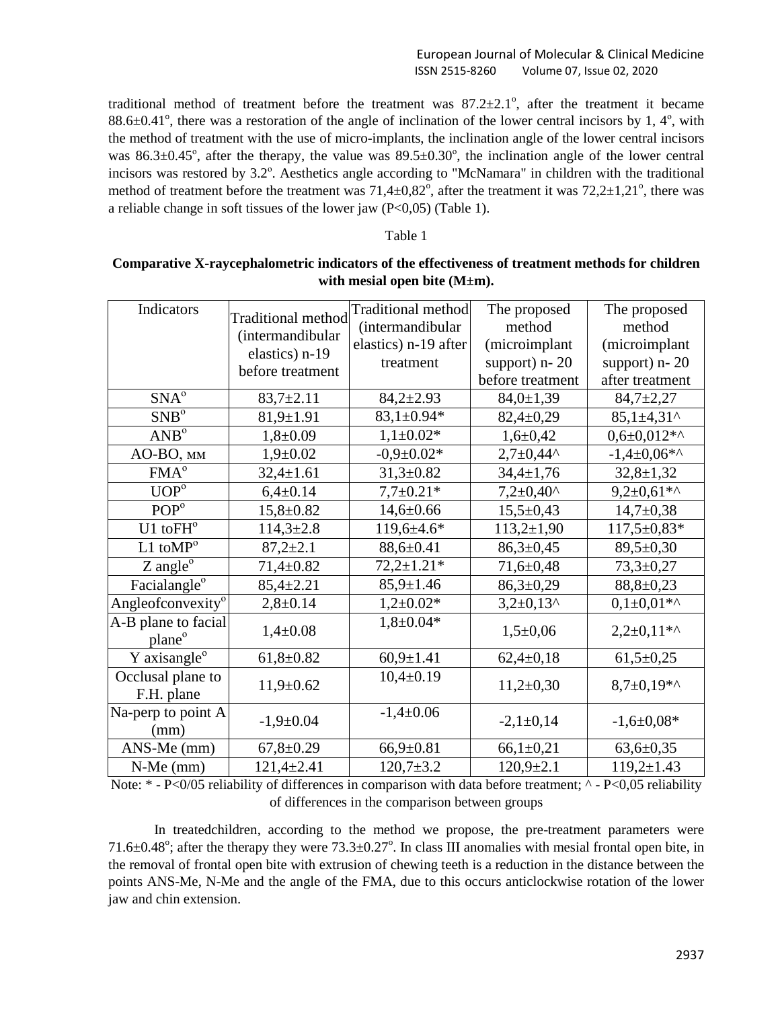## European Journal of Molecular & Clinical Medicine ISSN 2515-8260 Volume 07, Issue 02, 2020

traditional method of treatment before the treatment was  $87.2 \pm 2.1^{\circ}$ , after the treatment it became 88.6 $\pm$ 0.41°, there was a restoration of the angle of inclination of the lower central incisors by 1, 4°, with the method of treatment with the use of micro-implants, the inclination angle of the lower central incisors was  $86.3\pm0.45^{\circ}$ , after the therapy, the value was  $89.5\pm0.30^{\circ}$ , the inclination angle of the lower central incisors was restored by 3.2°. Aesthetics angle according to "McNamara" in children with the traditional method of treatment before the treatment was  $71,4\pm0,82^{\circ}$ , after the treatment it was  $72,2\pm1,21^{\circ}$ , there was a reliable change in soft tissues of the lower jaw  $(P<0.05)$  (Table 1).

#### Table 1

# **Comparative X-raycephalometric indicators of the effectiveness of treatment methods for children with mesial open bite (M±m).**

| Indicators                                            | <b>Traditional method</b><br>(intermandibular<br>elastics) n-19<br>before treatment | <b>Traditional method</b><br>(intermandibular<br>elastics) n-19 after<br>treatment | The proposed<br>method<br>(microimplant<br>support) $n-20$<br>before treatment | The proposed<br>method<br>(microimplant<br>support) $n-20$<br>after treatment |
|-------------------------------------------------------|-------------------------------------------------------------------------------------|------------------------------------------------------------------------------------|--------------------------------------------------------------------------------|-------------------------------------------------------------------------------|
| $SNA^{o}$                                             | $83,7{\pm}2.11$                                                                     | $84,2{\pm}2.93$                                                                    | $84,0 \pm 1,39$                                                                | $84,7+2,27$                                                                   |
| SNB <sup>o</sup>                                      | $81,9 \pm 1.91$                                                                     | $83,1\pm0.94*$                                                                     | $82,4\pm0,29$                                                                  | $85,1\pm4,31$ ^                                                               |
| AND <sup>o</sup>                                      | $1,8+0.09$                                                                          | $1,1\pm0.02*$                                                                      | $1,6 \pm 0,42$                                                                 | $0.6 \pm 0.012**$                                                             |
| AO-BO, MM                                             | $1,9+0.02$                                                                          | $-0.9 \pm 0.02*$                                                                   | $2,7+0,44^{\circ}$                                                             | $-1,4+0,06**$                                                                 |
| FMA <sup>o</sup>                                      | $32,4 \pm 1.61$                                                                     | $31,3+0.82$                                                                        | $34,4 \pm 1,76$                                                                | $32,8 \pm 1,32$                                                               |
| UOP <sup>o</sup>                                      | $6,4\pm0.14$                                                                        | $7,7\pm0.21*$                                                                      | $7,2{\pm}0,40^{\circ}$                                                         | $9,2{\pm}0,61*$                                                               |
| POP <sup>o</sup>                                      | $15,8+0.82$                                                                         | $14,6 \pm 0.66$                                                                    | $15,5+0,43$                                                                    | $14,7+0,38$                                                                   |
| $U1$ to $FH^o$                                        | $114,3 \pm 2.8$                                                                     | $119,6+4.6*$                                                                       | $113,2+1,90$                                                                   | $117,5 \pm 0.83*$                                                             |
| $L1$ toM $P^{\circ}$                                  | $87,2{\pm}2.1$                                                                      | $88,6 \pm 0.41$                                                                    | $86,3 \pm 0,45$                                                                | $89,5 \pm 0,30$                                                               |
| $Z$ angle $^{\circ}$                                  | $71,4+0.82$                                                                         | $72,2{\pm}1.21*$                                                                   | $71,6+0,48$                                                                    | $73,3+0,27$                                                                   |
| Facialangle <sup>o</sup>                              | $85,4 \pm 2.21$                                                                     | $85,9 \pm 1.46$                                                                    | $86,3 \pm 0,29$                                                                | $88,8+0,23$                                                                   |
| Angleofconvexity <sup><math>\overline{0}</math></sup> | $2,8+0.14$                                                                          | $1,2{\pm}0.02*$                                                                    | $3,2\pm0,13$ ^                                                                 | $0,1\pm0,01**$                                                                |
| A-B plane to facial<br>plane <sup>o</sup>             | $1,4\pm0.08$                                                                        | $1,8 \pm 0.04*$                                                                    | $1,5+0,06$                                                                     | $2,2+0,11**$                                                                  |
| Y axisangle <sup>o</sup>                              | $61,8+0.82$                                                                         | $60,9 \pm 1.41$                                                                    | $62,4\pm0,18$                                                                  | $61,5+0,25$                                                                   |
| Occlusal plane to<br>F.H. plane                       | $11,9+0.62$                                                                         | $10,4\pm0.19$                                                                      | $11,2+0,30$                                                                    | $8,7\pm0,19**$                                                                |
| Na-perp to point A<br>(mm)                            | $-1,9+0.04$                                                                         | $-1,4+0.06$                                                                        | $-2,1\pm0,14$                                                                  | $-1,6 \pm 0,08*$                                                              |
| ANS-Me (mm)                                           | $67,8 \pm 0.29$                                                                     | $66,9 \pm 0.81$                                                                    | $66,1\pm0,21$                                                                  | $63,6 \pm 0,35$                                                               |
| $N-Me$ (mm)                                           | $121,4+2.41$                                                                        | $120,7{\pm}3.2$                                                                    | $120,9{\pm}2.1$                                                                | $119,2 \pm 1.43$                                                              |

Note: \* - P<0/05 reliability of differences in comparison with data before treatment; ^ - P<0,05 reliability of differences in the comparison between groups

In treatedchildren, according to the method we propose, the pre-treatment parameters were 71.6 $\pm$ 0.48°; after the therapy they were 73.3 $\pm$ 0.27°. In class III anomalies with mesial frontal open bite, in the removal of frontal open bite with extrusion of chewing teeth is a reduction in the distance between the points ANS-Me, N-Me and the angle of the FMA, due to this occurs anticlockwise rotation of the lower jaw and chin extension.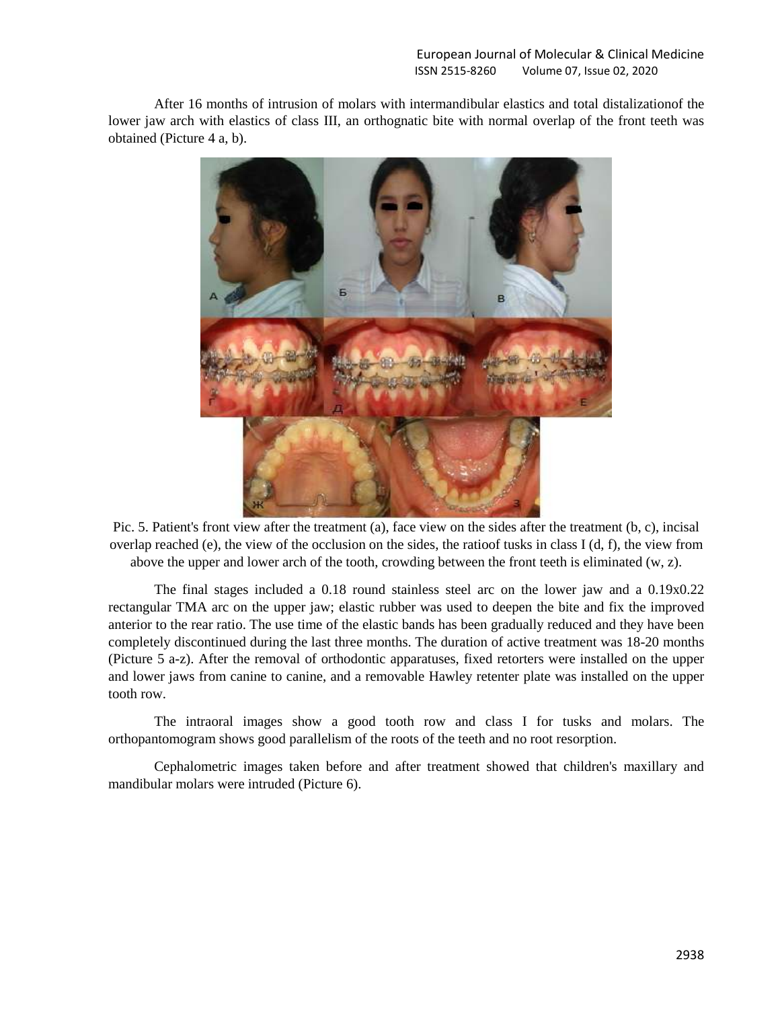After 16 months of intrusion of molars with intermandibular elastics and total distalizationof the lower jaw arch with elastics of class III, an orthognatic bite with normal overlap of the front teeth was obtained (Picture 4 a, b).



Pic. 5. Patient's front view after the treatment (a), face view on the sides after the treatment (b, c), incisal overlap reached (e), the view of the occlusion on the sides, the ratioof tusks in class I (d, f), the view from above the upper and lower arch of the tooth, crowding between the front teeth is eliminated (w, z).

The final stages included a 0.18 round stainless steel arc on the lower jaw and a 0.19x0.22 rectangular TMA arc on the upper jaw; elastic rubber was used to deepen the bite and fix the improved anterior to the rear ratio. The use time of the elastic bands has been gradually reduced and they have been completely discontinued during the last three months. The duration of active treatment was 18-20 months (Picture 5 a-z). After the removal of orthodontic apparatuses, fixed retorters were installed on the upper and lower jaws from canine to canine, and a removable Hawley retenter plate was installed on the upper tooth row.

The intraoral images show a good tooth row and class I for tusks and molars. The orthopantomogram shows good parallelism of the roots of the teeth and no root resorption.

Cephalometric images taken before and after treatment showed that children's maxillary and mandibular molars were intruded (Picture 6).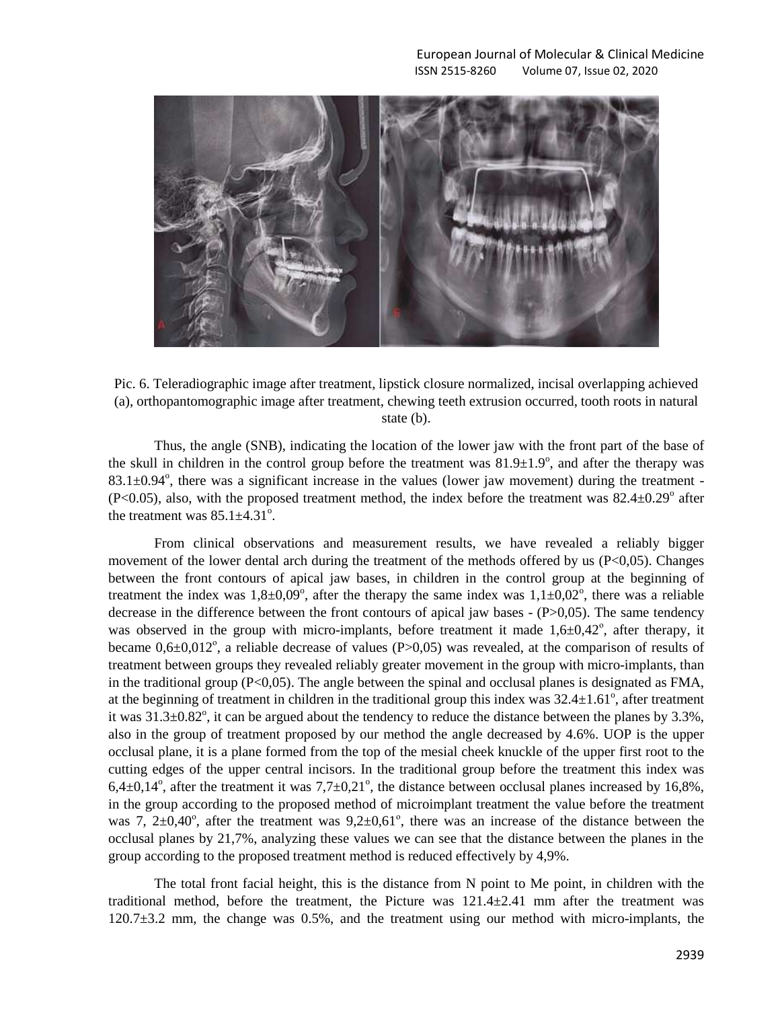

Pic. 6. Teleradiographic image after treatment, lipstick closure normalized, incisal overlapping achieved (a), orthopantomographic image after treatment, chewing teeth extrusion occurred, tooth roots in natural state (b).

Thus, the angle (SNB), indicating the location of the lower jaw with the front part of the base of the skull in children in the control group before the treatment was  $81.9\pm1.9^\circ$ , and after the therapy was  $83.1 \pm 0.94^\circ$ , there was a significant increase in the values (lower jaw movement) during the treatment - $(P<0.05)$ , also, with the proposed treatment method, the index before the treatment was  $82.4 \pm 0.29^{\circ}$  after the treatment was  $85.1 \pm 4.31^{\circ}$ .

From clinical observations and measurement results, we have revealed a reliably bigger movement of the lower dental arch during the treatment of the methods offered by us  $(P<0,05)$ . Changes between the front contours of apical jaw bases, in children in the control group at the beginning of treatment the index was  $1,8\pm0,09^{\circ}$ , after the therapy the same index was  $1,1\pm0,02^{\circ}$ , there was a reliable decrease in the difference between the front contours of apical jaw bases - (P>0,05). The same tendency was observed in the group with micro-implants, before treatment it made  $1,6\pm0,42^{\degree}$ , after therapy, it became  $0.6 \pm 0.012^{\circ}$ , a reliable decrease of values (P $> 0.05$ ) was revealed, at the comparison of results of treatment between groups they revealed reliably greater movement in the group with micro-implants, than in the traditional group  $(P<0.05)$ . The angle between the spinal and occlusal planes is designated as FMA, at the beginning of treatment in children in the traditional group this index was  $32.4 \pm 1.61^\circ$ , after treatment it was  $31.3\pm0.82^{\circ}$ , it can be argued about the tendency to reduce the distance between the planes by 3.3%, also in the group of treatment proposed by our method the angle decreased by 4.6%. UOP is the upper occlusal plane, it is a plane formed from the top of the mesial cheek knuckle of the upper first root to the cutting edges of the upper central incisors. In the traditional group before the treatment this index was  $6,4\pm0,14^{\circ}$ , after the treatment it was  $7,7\pm0,21^{\circ}$ , the distance between occlusal planes increased by 16,8%, in the group according to the proposed method of microimplant treatment the value before the treatment was 7,  $2\pm 0.40^{\circ}$ , after the treatment was  $9.2\pm 0.61^{\circ}$ , there was an increase of the distance between the occlusal planes by 21,7%, analyzing these values we can see that the distance between the planes in the group according to the proposed treatment method is reduced effectively by 4,9%.

The total front facial height, this is the distance from N point to Me point, in children with the traditional method, before the treatment, the Picture was  $121.4 \pm 2.41$  mm after the treatment was 120.7±3.2 mm, the change was 0.5%, and the treatment using our method with micro-implants, the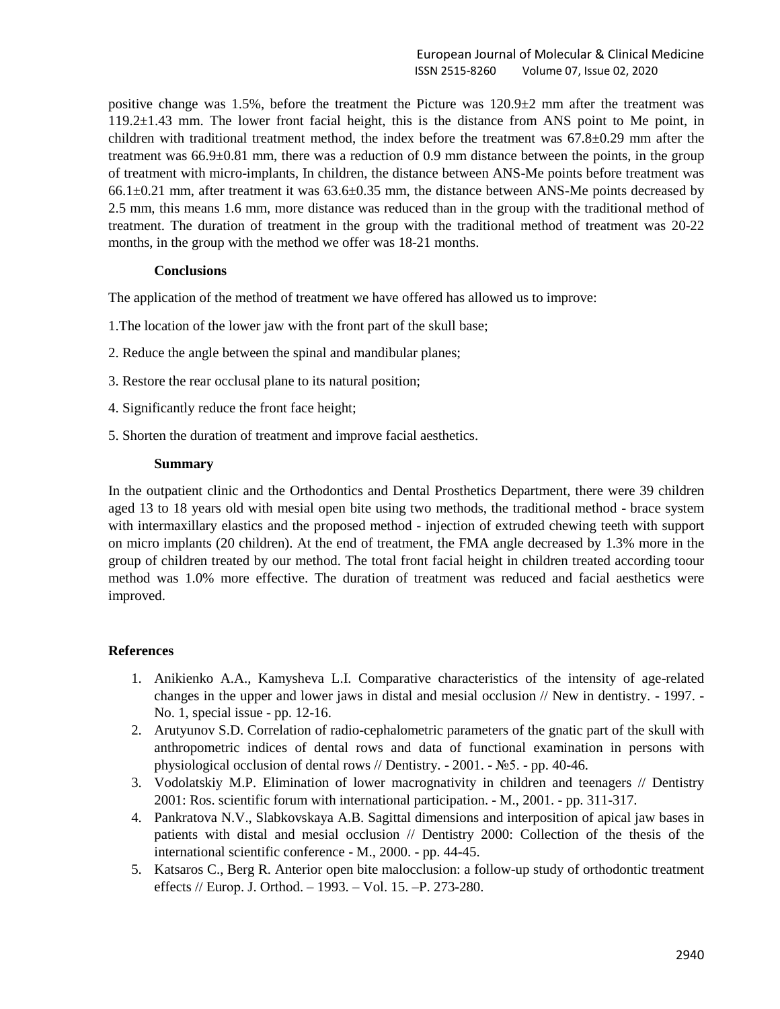positive change was 1.5%, before the treatment the Picture was  $120.9\pm 2$  mm after the treatment was 119.2±1.43 mm. The lower front facial height, this is the distance from ANS point to Me point, in children with traditional treatment method, the index before the treatment was 67.8±0.29 mm after the treatment was  $66.9\pm0.81$  mm, there was a reduction of 0.9 mm distance between the points, in the group of treatment with micro-implants, In children, the distance between ANS-Me points before treatment was  $66.1\pm0.21$  mm, after treatment it was  $63.6\pm0.35$  mm, the distance between ANS-Me points decreased by 2.5 mm, this means 1.6 mm, more distance was reduced than in the group with the traditional method of treatment. The duration of treatment in the group with the traditional method of treatment was 20-22 months, in the group with the method we offer was 18-21 months.

## **Conclusions**

The application of the method of treatment we have offered has allowed us to improve:

- 1.The location of the lower jaw with the front part of the skull base;
- 2. Reduce the angle between the spinal and mandibular planes;
- 3. Restore the rear occlusal plane to its natural position;
- 4. Significantly reduce the front face height;
- 5. Shorten the duration of treatment and improve facial aesthetics.

## **Summary**

In the outpatient clinic and the Orthodontics and Dental Prosthetics Department, there were 39 children aged 13 to 18 years old with mesial open bite using two methods, the traditional method - brace system with intermaxillary elastics and the proposed method - injection of extruded chewing teeth with support on micro implants (20 children). At the end of treatment, the FMA angle decreased by 1.3% more in the group of children treated by our method. The total front facial height in children treated according toour method was 1.0% more effective. The duration of treatment was reduced and facial aesthetics were improved.

## **References**

- 1. Anikienko A.A., Kamysheva L.I. Comparative characteristics of the intensity of age-related changes in the upper and lower jaws in distal and mesial occlusion // New in dentistry. - 1997. - No. 1, special issue - pp. 12-16.
- 2. Arutyunov S.D. Correlation of radio-cephalometric parameters of the gnatic part of the skull with anthropometric indices of dental rows and data of functional examination in persons with physiological occlusion of dental rows // Dentistry. - 2001. - №5. - pp. 40-46.
- 3. Vodolatskiy M.P. Elimination of lower macrognativity in children and teenagers // Dentistry 2001: Ros. scientific forum with international participation. - М., 2001. - pp. 311-317.
- 4. Pankratova N.V., Slabkovskaya A.B. Sagittal dimensions and interposition of apical jaw bases in patients with distal and mesial occlusion // Dentistry 2000: Collection of the thesis of the international scientific conference - M., 2000. - pp. 44-45.
- 5. Katsaros C., Berg R. Anterior open bite malocclusion: a follow-up study of orthodontic treatment effects // Eurор. J. Orthod. – 1993. – Vol. 15. –P. 273-280.